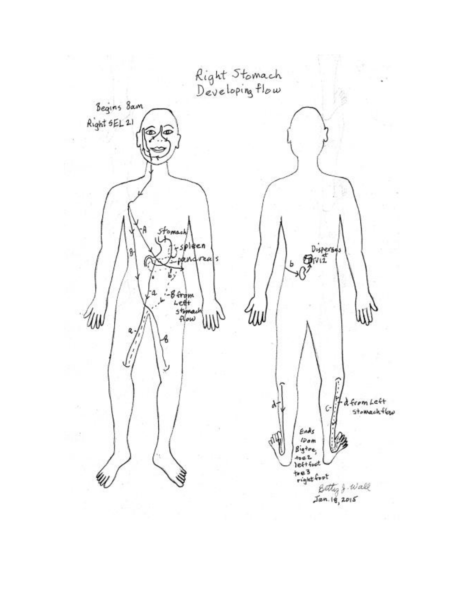